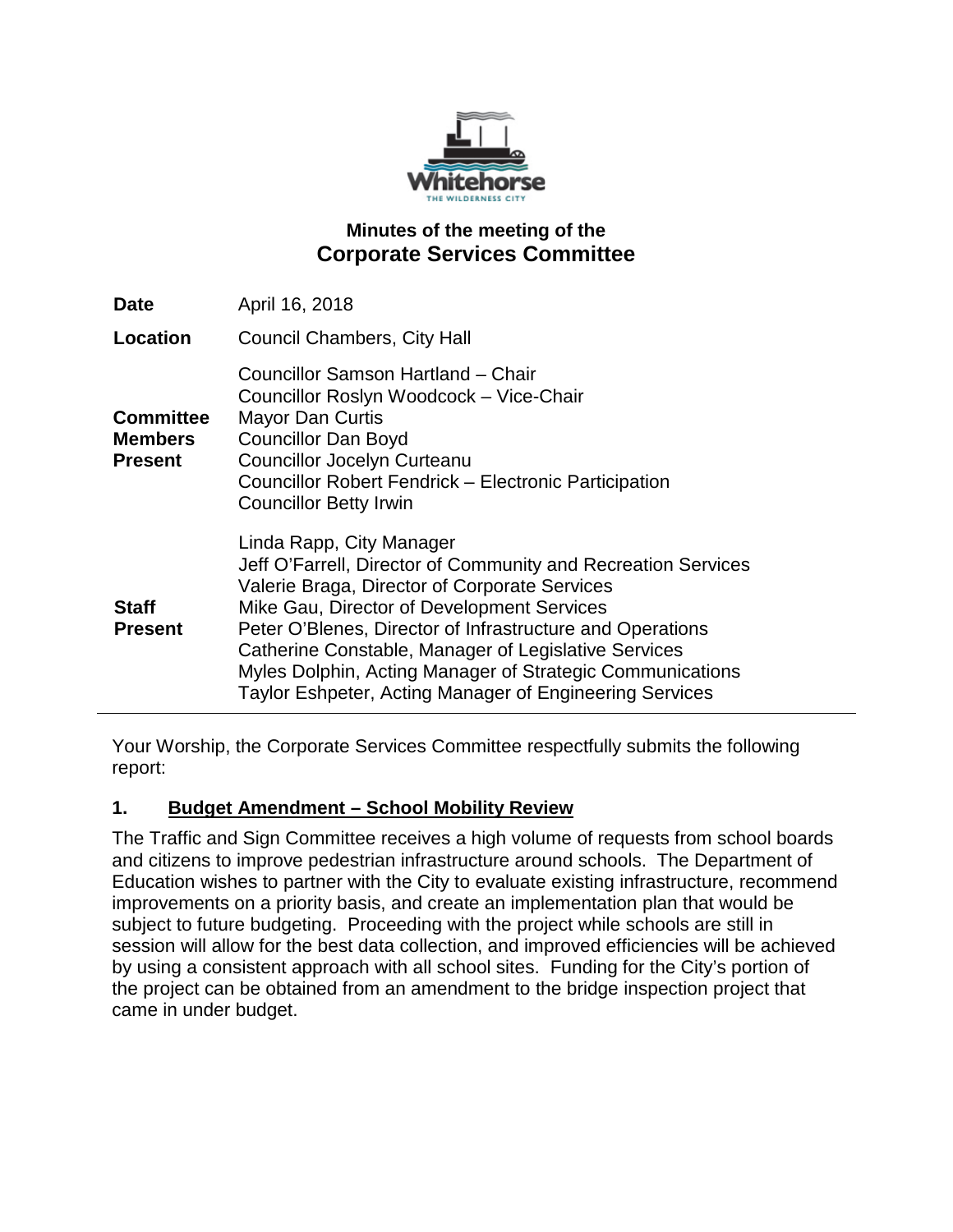

# **Minutes of the meeting of the Corporate Services Committee**

| <b>Date</b>                                          | April 16, 2018                                                                                                                                                                                                                                                                                                                                                                                                                        |
|------------------------------------------------------|---------------------------------------------------------------------------------------------------------------------------------------------------------------------------------------------------------------------------------------------------------------------------------------------------------------------------------------------------------------------------------------------------------------------------------------|
| Location                                             | <b>Council Chambers, City Hall</b>                                                                                                                                                                                                                                                                                                                                                                                                    |
| <b>Committee</b><br><b>Members</b><br><b>Present</b> | Councillor Samson Hartland - Chair<br>Councillor Roslyn Woodcock - Vice-Chair<br><b>Mayor Dan Curtis</b><br><b>Councillor Dan Boyd</b><br><b>Councillor Jocelyn Curteanu</b><br><b>Councillor Robert Fendrick – Electronic Participation</b><br><b>Councillor Betty Irwin</b>                                                                                                                                                         |
| <b>Staff</b><br><b>Present</b>                       | Linda Rapp, City Manager<br>Jeff O'Farrell, Director of Community and Recreation Services<br>Valerie Braga, Director of Corporate Services<br>Mike Gau, Director of Development Services<br>Peter O'Blenes, Director of Infrastructure and Operations<br>Catherine Constable, Manager of Legislative Services<br>Myles Dolphin, Acting Manager of Strategic Communications<br>Taylor Eshpeter, Acting Manager of Engineering Services |

Your Worship, the Corporate Services Committee respectfully submits the following report:

### **1. Budget Amendment – School Mobility Review**

The Traffic and Sign Committee receives a high volume of requests from school boards and citizens to improve pedestrian infrastructure around schools. The Department of Education wishes to partner with the City to evaluate existing infrastructure, recommend improvements on a priority basis, and create an implementation plan that would be subject to future budgeting. Proceeding with the project while schools are still in session will allow for the best data collection, and improved efficiencies will be achieved by using a consistent approach with all school sites. Funding for the City's portion of the project can be obtained from an amendment to the bridge inspection project that came in under budget.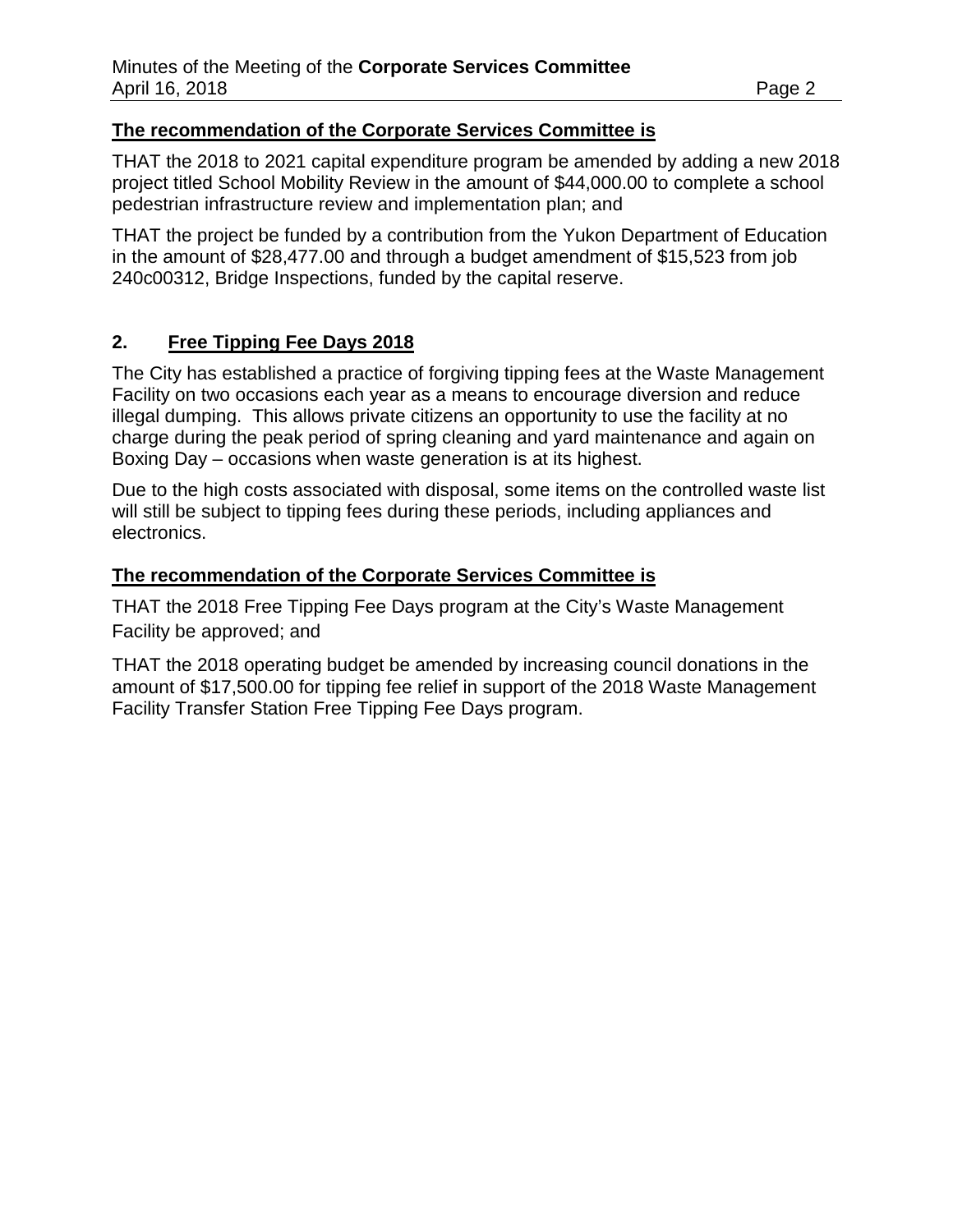#### **The recommendation of the Corporate Services Committee is**

THAT the 2018 to 2021 capital expenditure program be amended by adding a new 2018 project titled School Mobility Review in the amount of \$44,000.00 to complete a school pedestrian infrastructure review and implementation plan; and

THAT the project be funded by a contribution from the Yukon Department of Education in the amount of \$28,477.00 and through a budget amendment of \$15,523 from job 240c00312, Bridge Inspections, funded by the capital reserve.

### **2. Free Tipping Fee Days 2018**

The City has established a practice of forgiving tipping fees at the Waste Management Facility on two occasions each year as a means to encourage diversion and reduce illegal dumping. This allows private citizens an opportunity to use the facility at no charge during the peak period of spring cleaning and yard maintenance and again on Boxing Day – occasions when waste generation is at its highest.

Due to the high costs associated with disposal, some items on the controlled waste list will still be subject to tipping fees during these periods, including appliances and electronics.

#### **The recommendation of the Corporate Services Committee is**

THAT the 2018 Free Tipping Fee Days program at the City's Waste Management Facility be approved; and

THAT the 2018 operating budget be amended by increasing council donations in the amount of \$17,500.00 for tipping fee relief in support of the 2018 Waste Management Facility Transfer Station Free Tipping Fee Days program.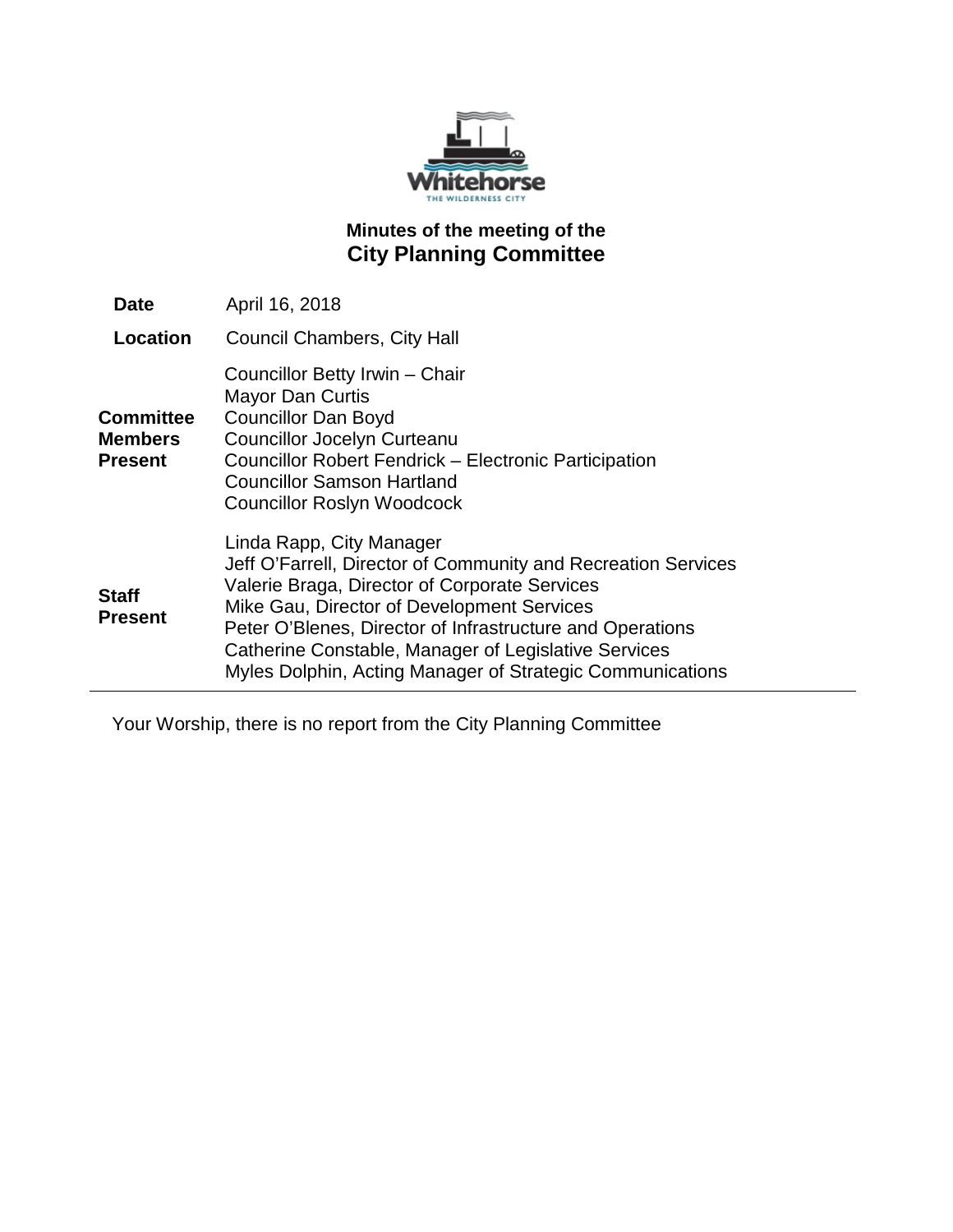

# **Minutes of the meeting of the City Planning Committee**

| <b>Date</b>                                   | April 16, 2018                                                                                                                                                                                                                                                                                                                                                             |
|-----------------------------------------------|----------------------------------------------------------------------------------------------------------------------------------------------------------------------------------------------------------------------------------------------------------------------------------------------------------------------------------------------------------------------------|
| Location                                      | <b>Council Chambers, City Hall</b>                                                                                                                                                                                                                                                                                                                                         |
| <b>Committee</b><br>Members<br><b>Present</b> | Councillor Betty Irwin - Chair<br><b>Mayor Dan Curtis</b><br><b>Councillor Dan Boyd</b><br><b>Councillor Jocelyn Curteanu</b><br><b>Councillor Robert Fendrick - Electronic Participation</b><br><b>Councillor Samson Hartland</b><br><b>Councillor Roslyn Woodcock</b>                                                                                                    |
| <b>Staff</b><br><b>Present</b>                | Linda Rapp, City Manager<br>Jeff O'Farrell, Director of Community and Recreation Services<br>Valerie Braga, Director of Corporate Services<br>Mike Gau, Director of Development Services<br>Peter O'Blenes, Director of Infrastructure and Operations<br>Catherine Constable, Manager of Legislative Services<br>Myles Dolphin, Acting Manager of Strategic Communications |

Your Worship, there is no report from the City Planning Committee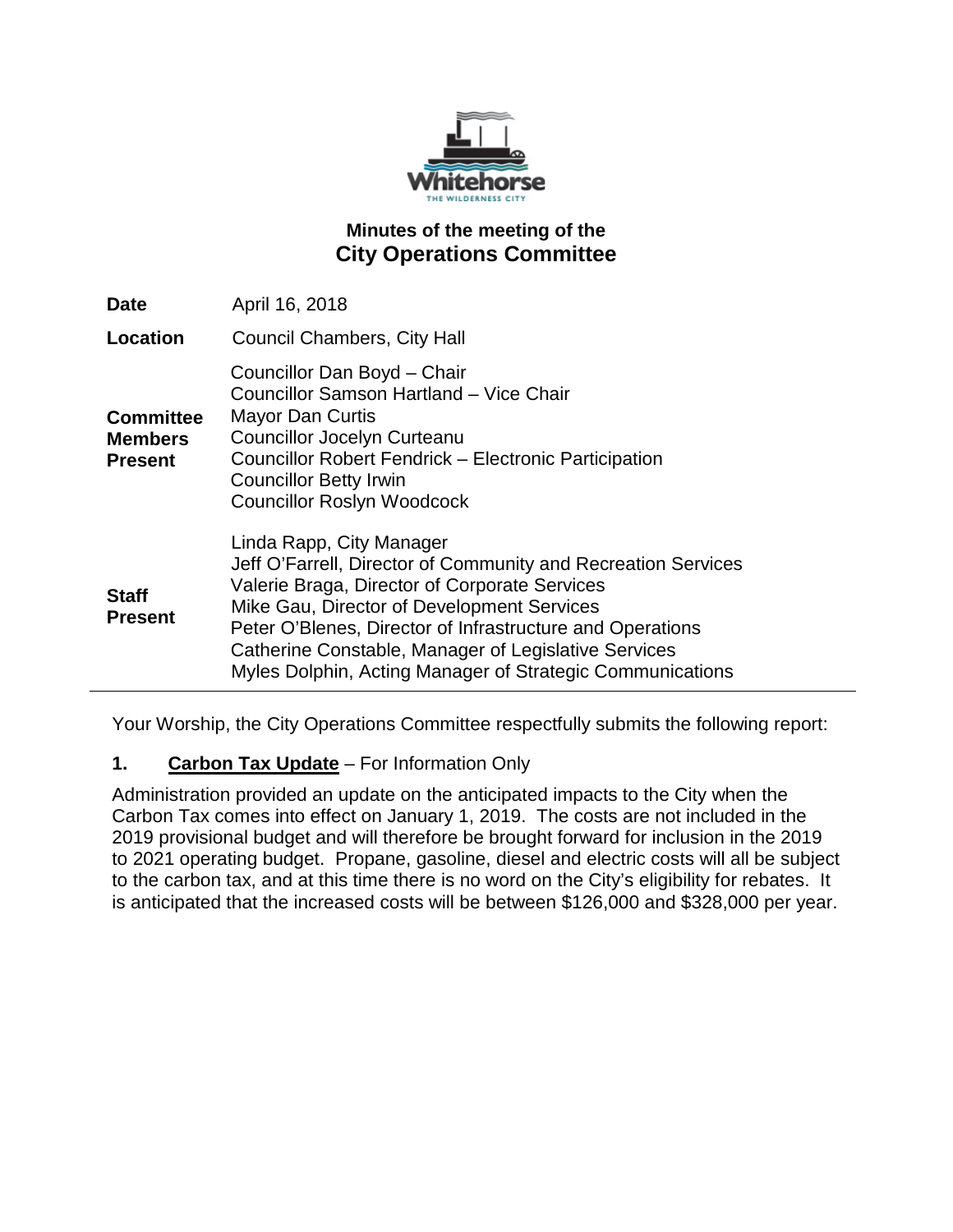

# **Minutes of the meeting of the City Operations Committee**

| <b>Date</b>                                          | April 16, 2018                                                                                                                                                                                                                                                                                                                                                             |
|------------------------------------------------------|----------------------------------------------------------------------------------------------------------------------------------------------------------------------------------------------------------------------------------------------------------------------------------------------------------------------------------------------------------------------------|
| <b>Location</b>                                      | Council Chambers, City Hall                                                                                                                                                                                                                                                                                                                                                |
| <b>Committee</b><br><b>Members</b><br><b>Present</b> | Councillor Dan Boyd - Chair<br>Councillor Samson Hartland - Vice Chair<br><b>Mayor Dan Curtis</b><br><b>Councillor Jocelyn Curteanu</b><br><b>Councillor Robert Fendrick – Electronic Participation</b><br><b>Councillor Betty Irwin</b><br><b>Councillor Roslyn Woodcock</b>                                                                                              |
| <b>Staff</b><br><b>Present</b>                       | Linda Rapp, City Manager<br>Jeff O'Farrell, Director of Community and Recreation Services<br>Valerie Braga, Director of Corporate Services<br>Mike Gau, Director of Development Services<br>Peter O'Blenes, Director of Infrastructure and Operations<br>Catherine Constable, Manager of Legislative Services<br>Myles Dolphin, Acting Manager of Strategic Communications |

Your Worship, the City Operations Committee respectfully submits the following report:

# **1. Carbon Tax Update** – For Information Only

Administration provided an update on the anticipated impacts to the City when the Carbon Tax comes into effect on January 1, 2019. The costs are not included in the 2019 provisional budget and will therefore be brought forward for inclusion in the 2019 to 2021 operating budget. Propane, gasoline, diesel and electric costs will all be subject to the carbon tax, and at this time there is no word on the City's eligibility for rebates. It is anticipated that the increased costs will be between \$126,000 and \$328,000 per year.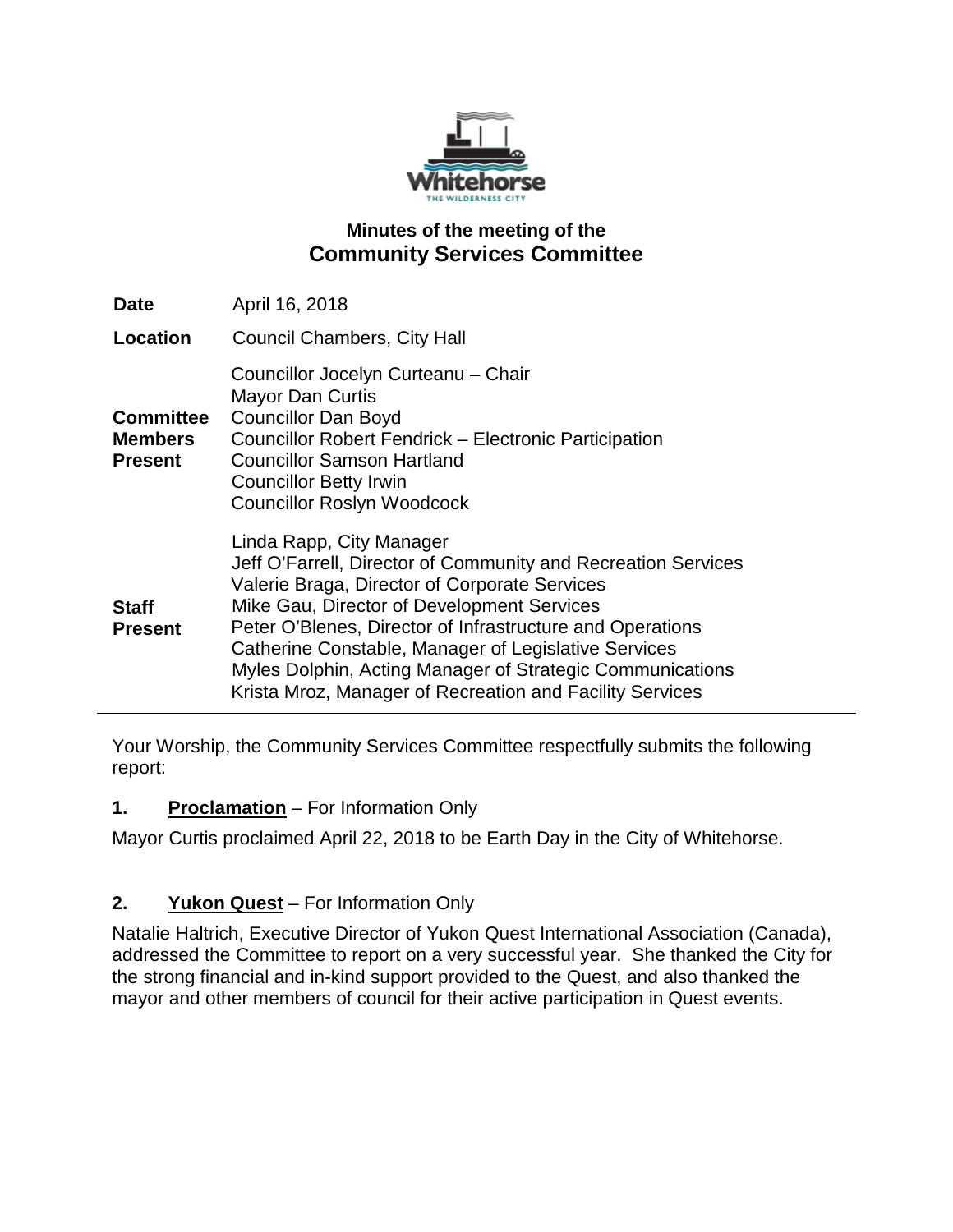

# **Minutes of the meeting of the Community Services Committee**

| <b>Date</b>                                          | April 16, 2018                                                                                                                                                                                                                                                                                                                                                                                                                         |
|------------------------------------------------------|----------------------------------------------------------------------------------------------------------------------------------------------------------------------------------------------------------------------------------------------------------------------------------------------------------------------------------------------------------------------------------------------------------------------------------------|
| Location                                             | <b>Council Chambers, City Hall</b>                                                                                                                                                                                                                                                                                                                                                                                                     |
| <b>Committee</b><br><b>Members</b><br><b>Present</b> | Councillor Jocelyn Curteanu - Chair<br><b>Mayor Dan Curtis</b><br><b>Councillor Dan Boyd</b><br>Councillor Robert Fendrick - Electronic Participation<br><b>Councillor Samson Hartland</b><br><b>Councillor Betty Irwin</b><br><b>Councillor Roslyn Woodcock</b>                                                                                                                                                                       |
| <b>Staff</b><br><b>Present</b>                       | Linda Rapp, City Manager<br>Jeff O'Farrell, Director of Community and Recreation Services<br>Valerie Braga, Director of Corporate Services<br>Mike Gau, Director of Development Services<br>Peter O'Blenes, Director of Infrastructure and Operations<br>Catherine Constable, Manager of Legislative Services<br>Myles Dolphin, Acting Manager of Strategic Communications<br>Krista Mroz, Manager of Recreation and Facility Services |

Your Worship, the Community Services Committee respectfully submits the following report:

### **1. Proclamation** – For Information Only

Mayor Curtis proclaimed April 22, 2018 to be Earth Day in the City of Whitehorse.

# **2. Yukon Quest** – For Information Only

Natalie Haltrich, Executive Director of Yukon Quest International Association (Canada), addressed the Committee to report on a very successful year. She thanked the City for the strong financial and in-kind support provided to the Quest, and also thanked the mayor and other members of council for their active participation in Quest events.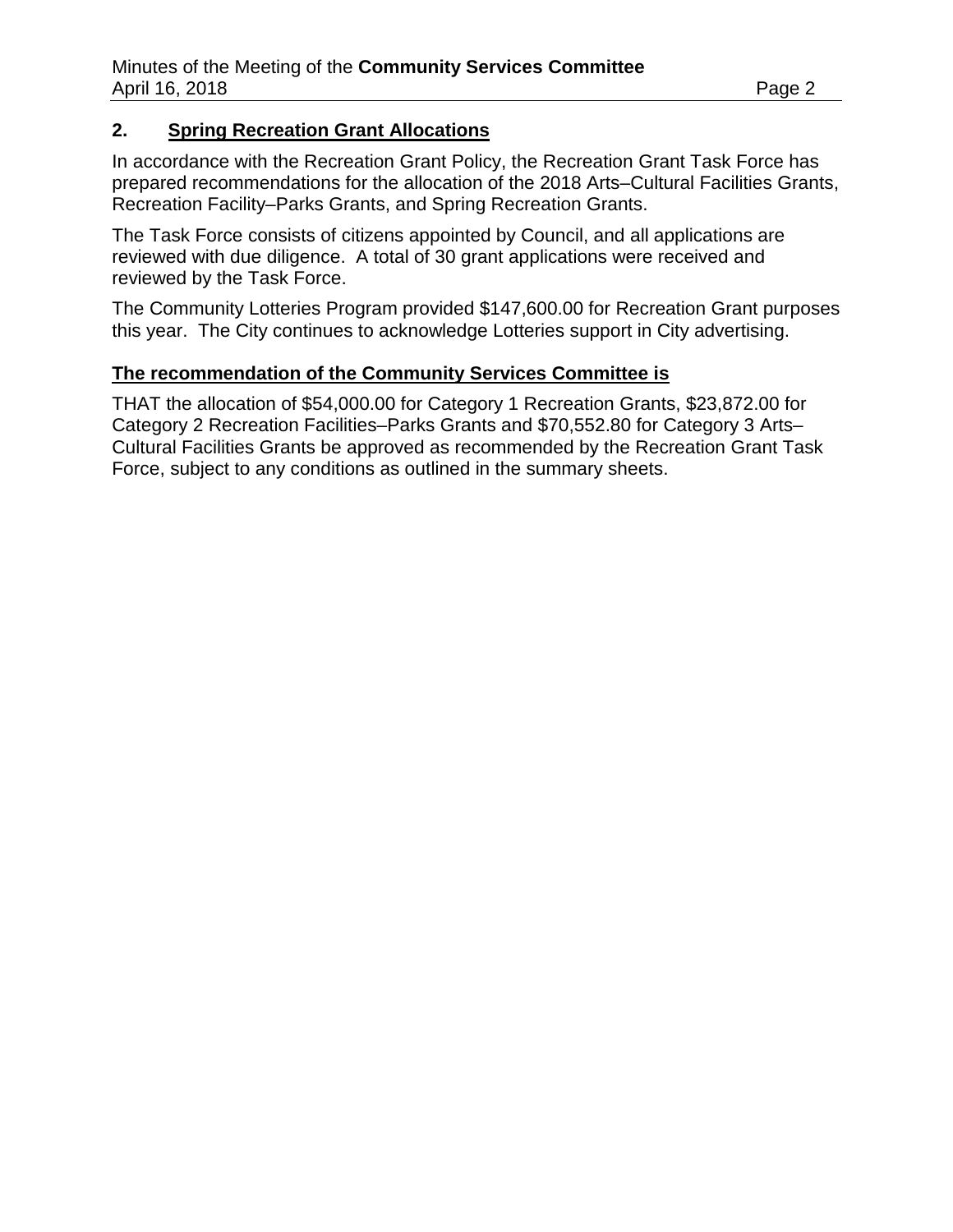### **2. Spring Recreation Grant Allocations**

In accordance with the Recreation Grant Policy, the Recreation Grant Task Force has prepared recommendations for the allocation of the 2018 Arts–Cultural Facilities Grants, Recreation Facility–Parks Grants, and Spring Recreation Grants.

The Task Force consists of citizens appointed by Council, and all applications are reviewed with due diligence. A total of 30 grant applications were received and reviewed by the Task Force.

The Community Lotteries Program provided \$147,600.00 for Recreation Grant purposes this year. The City continues to acknowledge Lotteries support in City advertising.

# **The recommendation of the Community Services Committee is**

THAT the allocation of \$54,000.00 for Category 1 Recreation Grants, \$23,872.00 for Category 2 Recreation Facilities–Parks Grants and \$70,552.80 for Category 3 Arts– Cultural Facilities Grants be approved as recommended by the Recreation Grant Task Force, subject to any conditions as outlined in the summary sheets.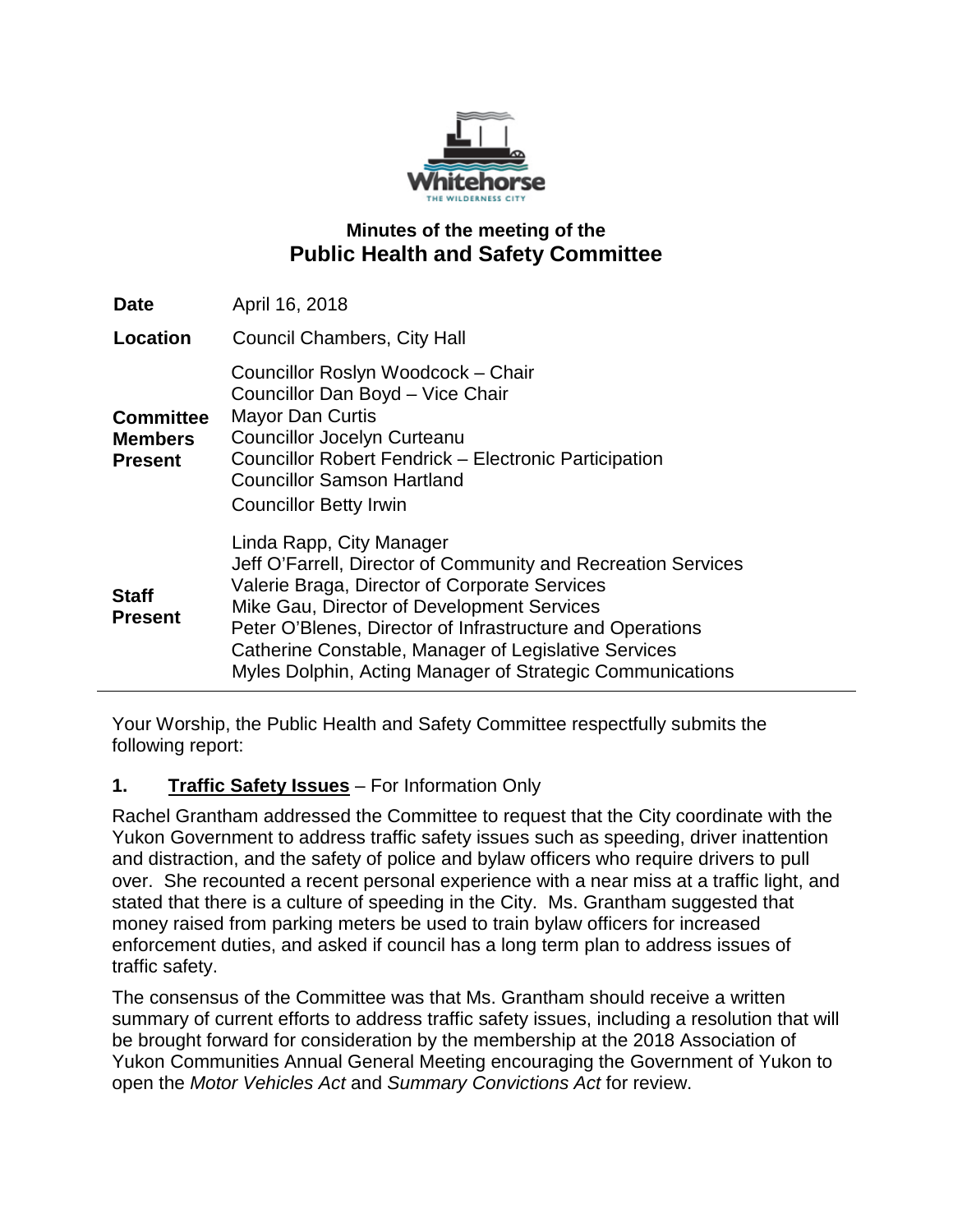

### **Minutes of the meeting of the Public Health and Safety Committee**

| <b>Date</b>                                          | April 16, 2018                                                                                                                                                                                                                                                                                                                                                             |
|------------------------------------------------------|----------------------------------------------------------------------------------------------------------------------------------------------------------------------------------------------------------------------------------------------------------------------------------------------------------------------------------------------------------------------------|
| Location                                             | <b>Council Chambers, City Hall</b>                                                                                                                                                                                                                                                                                                                                         |
| <b>Committee</b><br><b>Members</b><br><b>Present</b> | Councillor Roslyn Woodcock - Chair<br>Councillor Dan Boyd - Vice Chair<br><b>Mayor Dan Curtis</b><br><b>Councillor Jocelyn Curteanu</b><br>Councillor Robert Fendrick - Electronic Participation<br><b>Councillor Samson Hartland</b><br><b>Councillor Betty Irwin</b>                                                                                                     |
| <b>Staff</b><br><b>Present</b>                       | Linda Rapp, City Manager<br>Jeff O'Farrell, Director of Community and Recreation Services<br>Valerie Braga, Director of Corporate Services<br>Mike Gau, Director of Development Services<br>Peter O'Blenes, Director of Infrastructure and Operations<br>Catherine Constable, Manager of Legislative Services<br>Myles Dolphin, Acting Manager of Strategic Communications |

Your Worship, the Public Health and Safety Committee respectfully submits the following report:

### **1. Traffic Safety Issues** – For Information Only

Rachel Grantham addressed the Committee to request that the City coordinate with the Yukon Government to address traffic safety issues such as speeding, driver inattention and distraction, and the safety of police and bylaw officers who require drivers to pull over. She recounted a recent personal experience with a near miss at a traffic light, and stated that there is a culture of speeding in the City. Ms. Grantham suggested that money raised from parking meters be used to train bylaw officers for increased enforcement duties, and asked if council has a long term plan to address issues of traffic safety.

The consensus of the Committee was that Ms. Grantham should receive a written summary of current efforts to address traffic safety issues, including a resolution that will be brought forward for consideration by the membership at the 2018 Association of Yukon Communities Annual General Meeting encouraging the Government of Yukon to open the *Motor Vehicles Act* and *Summary Convictions Act* for review.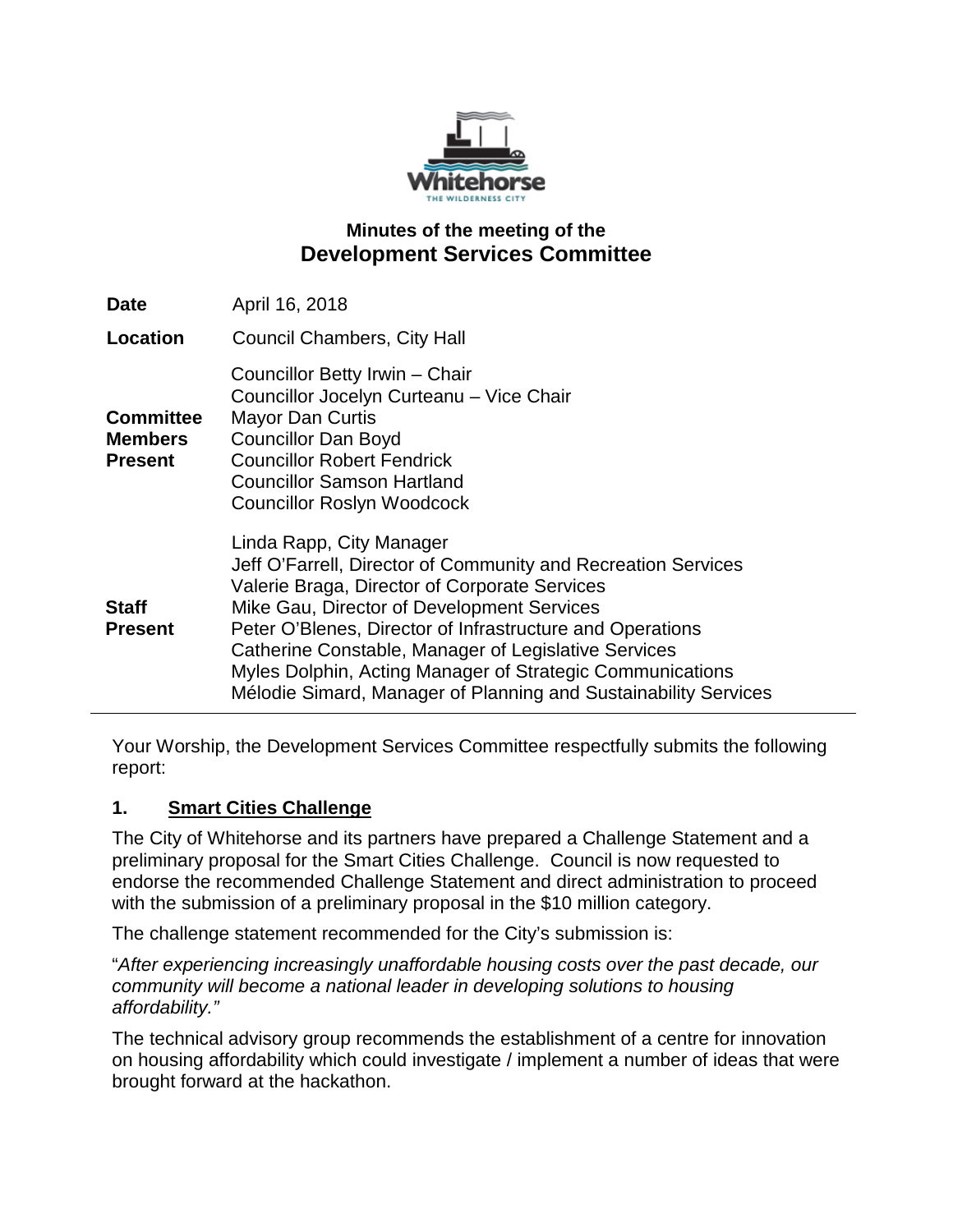

### **Minutes of the meeting of the Development Services Committee**

| <b>Date</b>                                          | April 16, 2018                                                                                                                                                                                                                                                                                                                                                                                                                                |
|------------------------------------------------------|-----------------------------------------------------------------------------------------------------------------------------------------------------------------------------------------------------------------------------------------------------------------------------------------------------------------------------------------------------------------------------------------------------------------------------------------------|
| Location                                             | <b>Council Chambers, City Hall</b>                                                                                                                                                                                                                                                                                                                                                                                                            |
| <b>Committee</b><br><b>Members</b><br><b>Present</b> | Councillor Betty Irwin - Chair<br>Councillor Jocelyn Curteanu - Vice Chair<br><b>Mayor Dan Curtis</b><br><b>Councillor Dan Boyd</b><br><b>Councillor Robert Fendrick</b><br><b>Councillor Samson Hartland</b><br><b>Councillor Roslyn Woodcock</b>                                                                                                                                                                                            |
| <b>Staff</b><br><b>Present</b>                       | Linda Rapp, City Manager<br>Jeff O'Farrell, Director of Community and Recreation Services<br>Valerie Braga, Director of Corporate Services<br>Mike Gau, Director of Development Services<br>Peter O'Blenes, Director of Infrastructure and Operations<br>Catherine Constable, Manager of Legislative Services<br>Myles Dolphin, Acting Manager of Strategic Communications<br>Mélodie Simard, Manager of Planning and Sustainability Services |

Your Worship, the Development Services Committee respectfully submits the following report:

### **1. Smart Cities Challenge**

The City of Whitehorse and its partners have prepared a Challenge Statement and a preliminary proposal for the Smart Cities Challenge. Council is now requested to endorse the recommended Challenge Statement and direct administration to proceed with the submission of a preliminary proposal in the \$10 million category.

The challenge statement recommended for the City's submission is:

"*After experiencing increasingly unaffordable housing costs over the past decade, our community will become a national leader in developing solutions to housing affordability."*

The technical advisory group recommends the establishment of a centre for innovation on housing affordability which could investigate / implement a number of ideas that were brought forward at the hackathon.